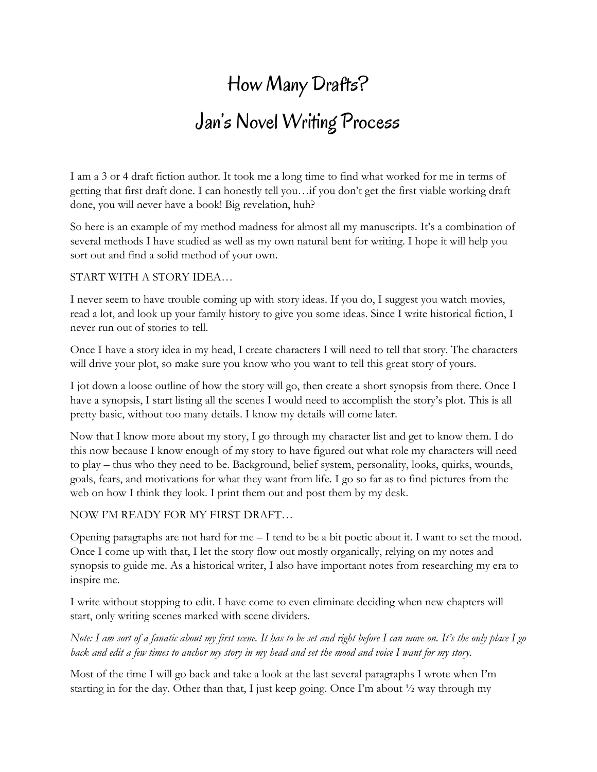# How Many Drafts? Jan's Novel Writing Process

I am a 3 or 4 draft fiction author. It took me a long time to find what worked for me in terms of getting that first draft done. I can honestly tell you…if you don't get the first viable working draft done, you will never have a book! Big revelation, huh?

So here is an example of my method madness for almost all my manuscripts. It's a combination of several methods I have studied as well as my own natural bent for writing. I hope it will help you sort out and find a solid method of your own.

#### START WITH A STORY IDEA…

I never seem to have trouble coming up with story ideas. If you do, I suggest you watch movies, read a lot, and look up your family history to give you some ideas. Since I write historical fiction, I never run out of stories to tell.

Once I have a story idea in my head, I create characters I will need to tell that story. The characters will drive your plot, so make sure you know who you want to tell this great story of yours.

I jot down a loose outline of how the story will go, then create a short synopsis from there. Once I have a synopsis, I start listing all the scenes I would need to accomplish the story's plot. This is all pretty basic, without too many details. I know my details will come later.

Now that I know more about my story, I go through my character list and get to know them. I do this now because I know enough of my story to have figured out what role my characters will need to play – thus who they need to be. Background, belief system, personality, looks, quirks, wounds, goals, fears, and motivations for what they want from life. I go so far as to find pictures from the web on how I think they look. I print them out and post them by my desk.

### NOW I'M READY FOR MY FIRST DRAFT…

Opening paragraphs are not hard for me – I tend to be a bit poetic about it. I want to set the mood. Once I come up with that, I let the story flow out mostly organically, relying on my notes and synopsis to guide me. As a historical writer, I also have important notes from researching my era to inspire me.

I write without stopping to edit. I have come to even eliminate deciding when new chapters will start, only writing scenes marked with scene dividers.

*Note: I am sort of a fanatic about my first scene. It has to be set and right before I can move on. It's the only place I go back and edit a few times to anchor my story in my head and set the mood and voice I want for my story.* 

Most of the time I will go back and take a look at the last several paragraphs I wrote when I'm starting in for the day. Other than that, I just keep going. Once I'm about  $\frac{1}{2}$  way through my